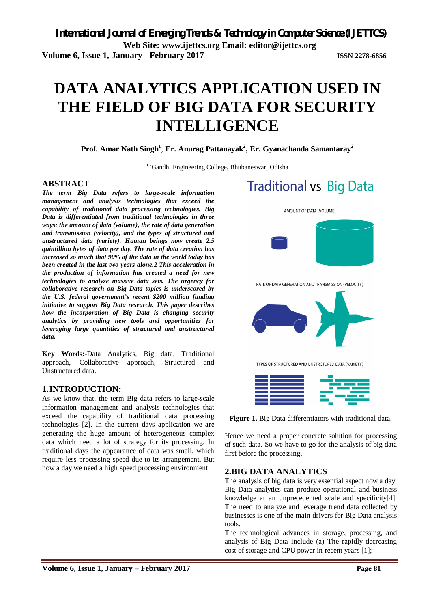# **DATA ANALYTICS APPLICATION USED IN THE FIELD OF BIG DATA FOR SECURITY INTELLIGENCE**

**Prof. Amar Nath Singh<sup>1</sup>** , **Er. Anurag Pattanayak<sup>2</sup> , Er. Gyanachanda Samantaray<sup>2</sup>**

<sup>1,2</sup>Gandhi Engineering College, Bhubaneswar, Odisha

# **ABSTRACT**

*The term Big Data refers to large-scale information management and analysis technologies that exceed the capability of traditional data processing technologies. Big Data is differentiated from traditional technologies in three ways: the amount of data (volume), the rate of data generation and transmission (velocity), and the types of structured and unstructured data (variety). Human beings now create 2.5 quintillion bytes of data per day. The rate of data creation has increased so much that 90% of the data in the world today has been created in the last two years alone.2 This acceleration in the production of information has created a need for new technologies to analyze massive data sets. The urgency for collaborative research on Big Data topics is underscored by the U.S. federal government's recent \$200 million funding initiative to support Big Data research. This paper describes how the incorporation of Big Data is changing security analytics by providing new tools and opportunities for leveraging large quantities of structured and unstructured data.* 

**Key Words:-**Data Analytics, Big data, Traditional approach, Collaborative approach, Structured and Unstructured data.

# **1.INTRODUCTION:**

As we know that, the term Big data refers to large-scale information management and analysis technologies that exceed the capability of traditional data processing technologies [2]. In the current days application we are generating the huge amount of heterogeneous complex data which need a lot of strategy for its processing. In traditional days the appearance of data was small, which require less processing speed due to its arrangement. But now a day we need a high speed processing environment.

# **Traditional vs Big Data**



RATE OF DATA GENERATION AND TRANSMISSION (VELOCITY)



TYPES OF STRUCTURED AND UNSTRCTURED DATA (VARIETY)



**Figure 1.** Big Data differentiators with traditional data.

Hence we need a proper concrete solution for processing of such data. So we have to go for the analysis of big data first before the processing.

# **2.BIG DATA ANALYTICS**

The analysis of big data is very essential aspect now a day. Big Data analytics can produce operational and business knowledge at an unprecedented scale and specificity[4]. The need to analyze and leverage trend data collected by businesses is one of the main drivers for Big Data analysis tools.

The technological advances in storage, processing, and analysis of Big Data include (a) The rapidly decreasing cost of storage and CPU power in recent years [1];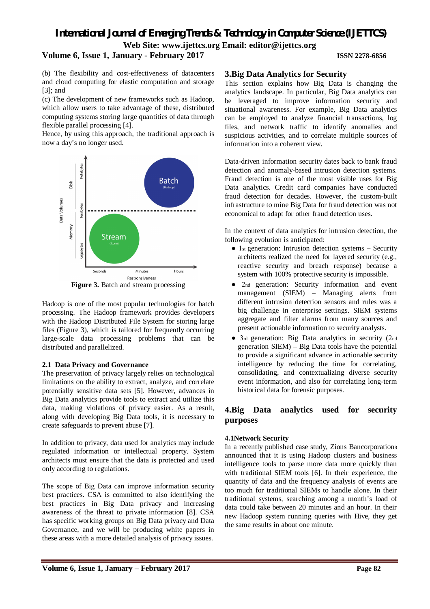# *International Journal of Emerging Trends & Technology in Computer Science (IJETTCS)* **Web Site: www.ijettcs.org Email: editor@ijettcs.org**

### **Volume 6, Issue 1, January - February 2017 ISSN 2278-6856**

(b) The flexibility and cost-effectiveness of datacenters and cloud computing for elastic computation and storage [3]; and

(c) The development of new frameworks such as Hadoop, which allow users to take advantage of these, distributed computing systems storing large quantities of data through flexible parallel processing [4].

Hence, by using this approach, the traditional approach is now a day's no longer used.



**Figure 3.** Batch and stream processing

Hadoop is one of the most popular technologies for batch processing. The Hadoop framework provides developers with the Hadoop Distributed File System for storing large files (Figure 3), which is tailored for frequently occurring large-scale data processing problems that can be distributed and parallelized.

## **2.1 Data Privacy and Governance**

The preservation of privacy largely relies on technological limitations on the ability to extract, analyze, and correlate potentially sensitive data sets [5]. However, advances in Big Data analytics provide tools to extract and utilize this data, making violations of privacy easier. As a result, along with developing Big Data tools, it is necessary to create safeguards to prevent abuse [7].

In addition to privacy, data used for analytics may include regulated information or intellectual property. System architects must ensure that the data is protected and used only according to regulations.

The scope of Big Data can improve information security best practices. CSA is committed to also identifying the best practices in Big Data privacy and increasing awareness of the threat to private information [8]. CSA has specific working groups on Big Data privacy and Data Governance, and we will be producing white papers in these areas with a more detailed analysis of privacy issues.

### **3.Big Data Analytics for Security**

This section explains how Big Data is changing the analytics landscape. In particular, Big Data analytics can be leveraged to improve information security and situational awareness. For example, Big Data analytics can be employed to analyze financial transactions, log files, and network traffic to identify anomalies and suspicious activities, and to correlate multiple sources of information into a coherent view.

Data-driven information security dates back to bank fraud detection and anomaly-based intrusion detection systems. Fraud detection is one of the most visible uses for Big Data analytics. Credit card companies have conducted fraud detection for decades. However, the custom-built infrastructure to mine Big Data for fraud detection was not economical to adapt for other fraud detection uses.

In the context of data analytics for intrusion detection, the following evolution is anticipated:

- $\bullet$  1st generation: Intrusion detection systems Security architects realized the need for layered security (e.g., reactive security and breach response) because a system with 100% protective security is impossible.
- 2nd generation: Security information and event management (SIEM) – Managing alerts from different intrusion detection sensors and rules was a big challenge in enterprise settings. SIEM systems aggregate and filter alarms from many sources and present actionable information to security analysts.
- 3rd generation: Big Data analytics in security (2nd generation SIEM) – Big Data tools have the potential to provide a significant advance in actionable security intelligence by reducing the time for correlating, consolidating, and contextualizing diverse security event information, and also for correlating long-term historical data for forensic purposes.

# **4.Big Data analytics used for security purposes**

## **4.1Network Security**

In a recently published case study, Zions Bancorporation<sup>8</sup> announced that it is using Hadoop clusters and business intelligence tools to parse more data more quickly than with traditional SIEM tools [6]. In their experience, the quantity of data and the frequency analysis of events are too much for traditional SIEMs to handle alone. In their traditional systems, searching among a month's load of data could take between 20 minutes and an hour. In their new Hadoop system running queries with Hive, they get the same results in about one minute.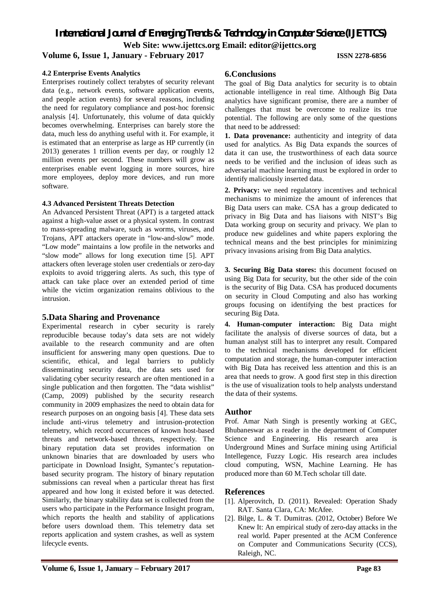*International Journal of Emerging Trends & Technology in Computer Science (IJETTCS)* **Web Site: www.ijettcs.org Email: editor@ijettcs.org** 

# **Volume 6, Issue 1, January - February 2017 ISSN 2278-6856**

### **4.2 Enterprise Events Analytics**

Enterprises routinely collect terabytes of security relevant data (e.g., network events, software application events, and people action events) for several reasons, including the need for regulatory compliance and post-hoc forensic analysis [4]. Unfortunately, this volume of data quickly becomes overwhelming. Enterprises can barely store the data, much less do anything useful with it. For example, it is estimated that an enterprise as large as HP currently (in 2013) generates 1 trillion events per day, or roughly 12 million events per second. These numbers will grow as enterprises enable event logging in more sources, hire more employees, deploy more devices, and run more software.

## **4.3 Advanced Persistent Threats Detection**

An Advanced Persistent Threat (APT) is a targeted attack against a high-value asset or a physical system. In contrast to mass-spreading malware, such as worms, viruses, and Trojans, APT attackers operate in "low-and-slow" mode. "Low mode" maintains a low profile in the networks and "slow mode" allows for long execution time [5]. APT attackers often leverage stolen user credentials or zero-day exploits to avoid triggering alerts. As such, this type of attack can take place over an extended period of time while the victim organization remains oblivious to the intrusion.

### **5.Data Sharing and Provenance**

Experimental research in cyber security is rarely reproducible because today's data sets are not widely available to the research community and are often insufficient for answering many open questions. Due to scientific, ethical, and legal barriers to publicly disseminating security data, the data sets used for validating cyber security research are often mentioned in a single publication and then forgotten. The "data wishlist" (Camp, 2009) published by the security research community in 2009 emphasizes the need to obtain data for research purposes on an ongoing basis [4]. These data sets include anti-virus telemetry and intrusion-protection telemetry, which record occurrences of known host-based threats and network-based threats, respectively. The binary reputation data set provides information on unknown binaries that are downloaded by users who participate in Download Insight, Symantec's reputationbased security program. The history of binary reputation submissions can reveal when a particular threat has first appeared and how long it existed before it was detected. Similarly, the binary stability data set is collected from the users who participate in the Performance Insight program, which reports the health and stability of applications before users download them. This telemetry data set reports application and system crashes, as well as system lifecycle events.

## **6.Conclusions**

The goal of Big Data analytics for security is to obtain actionable intelligence in real time. Although Big Data analytics have significant promise, there are a number of challenges that must be overcome to realize its true potential. The following are only some of the questions that need to be addressed:

**1. Data provenance:** authenticity and integrity of data used for analytics. As Big Data expands the sources of data it can use, the trustworthiness of each data source needs to be verified and the inclusion of ideas such as adversarial machine learning must be explored in order to identify maliciously inserted data.

**2. Privacy:** we need regulatory incentives and technical mechanisms to minimize the amount of inferences that Big Data users can make. CSA has a group dedicated to privacy in Big Data and has liaisons with NIST's Big Data working group on security and privacy. We plan to produce new guidelines and white papers exploring the technical means and the best principles for minimizing privacy invasions arising from Big Data analytics.

**3. Securing Big Data stores:** this document focused on using Big Data for security, but the other side of the coin is the security of Big Data. CSA has produced documents on security in Cloud Computing and also has working groups focusing on identifying the best practices for securing Big Data.

**4. Human-computer interaction:** Big Data might facilitate the analysis of diverse sources of data, but a human analyst still has to interpret any result. Compared to the technical mechanisms developed for efficient computation and storage, the human-computer interaction with Big Data has received less attention and this is an area that needs to grow. A good first step in this direction is the use of visualization tools to help analysts understand the data of their systems.

### **Author**

Prof. Amar Nath Singh is presently working at GEC, Bhubaneswar as a reader in the department of Computer Science and Engineering. His research area is Underground Mines and Surface mining using Artificial Intellegence, Fuzzy Logic. His research area includes cloud computing, WSN, Machine Learning. He has produced more than 60 M.Tech scholar till date.

### **References**

- [1]. Alperovitch, D. (2011). Revealed: Operation Shady RAT. Santa Clara, CA: McAfee.
- [2]. Bilge, L. & T. Dumitras. (2012, October) Before We Knew It: An empirical study of zero-day attacks in the real world. Paper presented at the ACM Conference on Computer and Communications Security (CCS), Raleigh, NC.